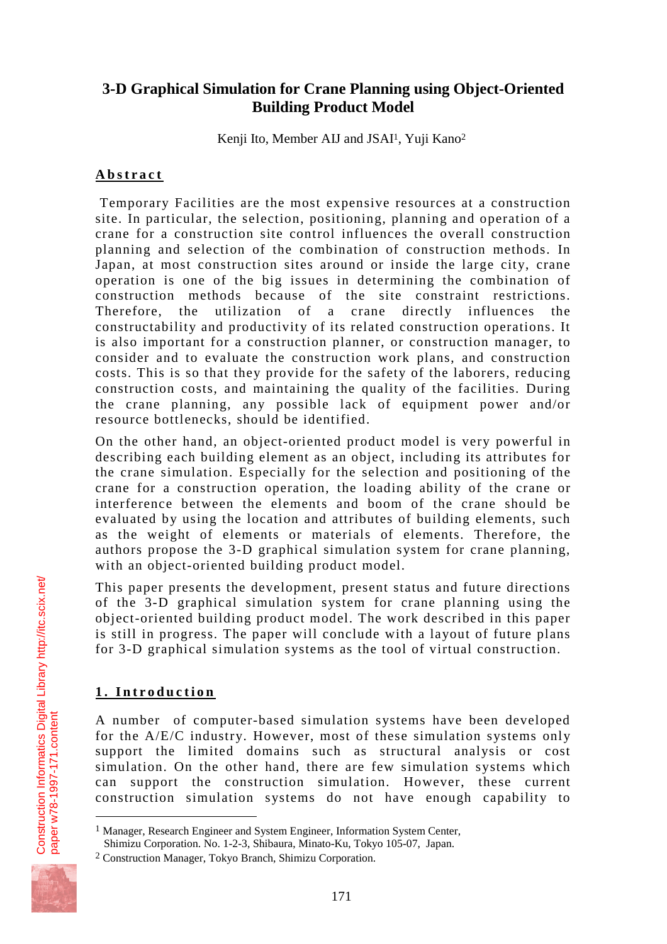# **3-D Graphical Simulation for Crane Planning using Object-Oriented Building Product Model**

Kenji Ito, Member AIJ and JSAI<sup>1</sup>, Yuji Kano<sup>2</sup>

#### **Abstract**

 Temporary Facilities are the most expensive resources at a construction site. In particular, the selection, positioning, planning and operation of a crane for a construction site control influences the overall construction planning and selection of the combination of construction methods. In Japan, at most construction sites around or inside the large city, crane operation is one of the big issues in determining the combination of construction methods because of the site constraint restrictions. Therefore, the utilization of a crane directly influences the constructability and productivity of its related construction operations. It is also important for a construction planner, or construction manager, to consider and to evaluate the construction work plans, and construction costs. This is so that they provide for the safety of the laborers, reducing construction costs, and maintaining the quality of the facilities. During the crane planning, any possible lack of equipment power and/or resource bottlenecks, should be identified.

On the other hand, an object-oriented product model is very powerful in describing each building element as an object, including its attributes for the crane simulation. Especially for the selection and positioning of the crane for a construction operation, the loading ability of the crane or interference between the elements and boom of the crane should be evaluated by using the location and attributes of building elements, such as the weight of elements or materials of elements. Therefore, the authors propose the 3-D graphical simulation system for crane planning, with an object-oriented building product model.

This paper presents the development, present status and future directions of the 3-D graphical simulation system for crane planning using the object-oriented building product model. The work described in this paper is still in progress. The paper will conclude with a layout of future plans for 3-D graphical simulation systems as the tool of virtual construction.

# **1. Introduction**

A number of computer-based simulation systems have been developed for the A/E/C industry. However, most of these simulation systems only support the limited domains such as structural analysis or cost simulation. On the other hand, there are few simulation systems which can support the construction simulation. However, these current construction simulation systems do not have enough capability to

<sup>2</sup> Construction Manager, Tokyo Branch, Shimizu Corporation.



[paper w78-1997-171.content](http://itc.scix.net/id.cgi/w78-1997-171.content)

[Construction Informatics Digital Library http://itc.scix.net/](http://itc.scix.net/)

Construction Informatics Digital Library http://itc.scix.net/

 $\overline{a}$ 

<sup>&</sup>lt;sup>1</sup> Manager, Research Engineer and System Engineer, Information System Center,

Shimizu Corporation. No. 1-2-3, Shibaura, Minato-Ku, Tokyo 105-07, Japan.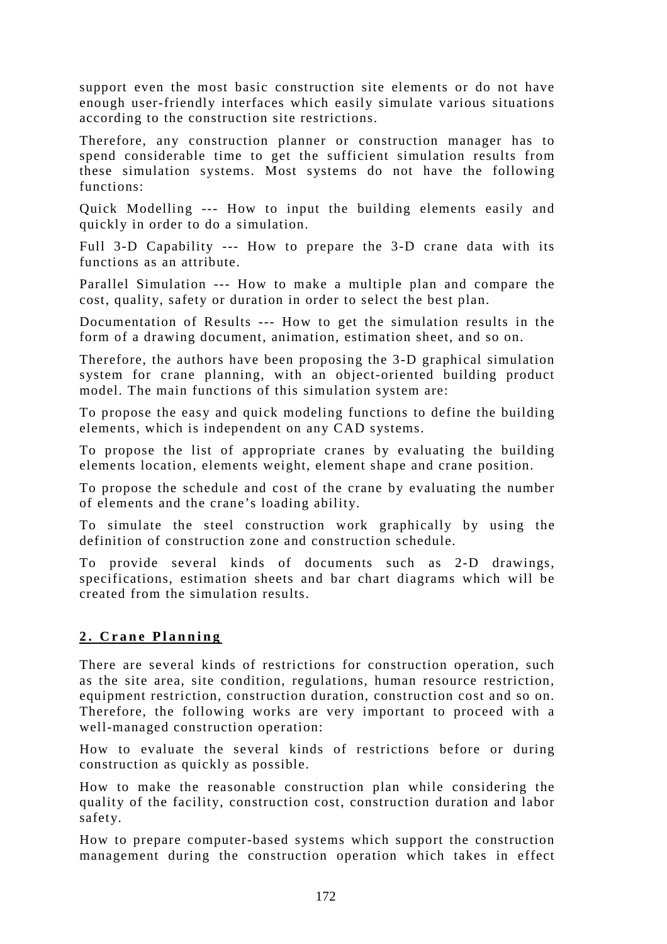support even the most basic construction site elements or do not have enough user-friendly interfaces which easily simulate various situations according to the construction site restrictions.

Therefore, any construction planner or construction manager has to spend considerable time to get the sufficient simulation results from these simulation systems. Most systems do not have the following functions:

Quick Modelling --- How to input the building elements easily and quickly in order to do a simulation.

Full 3-D Capability --- How to prepare the 3-D crane data with its functions as an attribute.

Parallel Simulation --- How to make a multiple plan and compare the cost, quality, safety or duration in order to select the best plan.

Documentation of Results --- How to get the simulation results in the form of a drawing document, animation, estimation sheet, and so on.

Therefore, the authors have been proposing the 3-D graphical simulation system for crane planning, with an object-oriented building product model. The main functions of this simulation system are:

To propose the easy and quick modeling functions to define the building elements, which is independent on any CAD systems.

To propose the list of appropriate cranes by evaluating the building elements location, elements weight, element shape and crane position.

To propose the schedule and cost of the crane by evaluating the number of elements and the crane's loading ability.

To simulate the steel construction work graphically by using the definition of construction zone and construction schedule.

To provide several kinds of documents such as 2-D drawings, specifications, estimation sheets and bar chart diagrams which will be created from the simulation results.

#### **2. Crane Planning**

There are several kinds of restrictions for construction operation, such as the site area, site condition, regulations, human resource restriction, equipment restriction, construction duration, construction cost and so on. Therefore, the following works are very important to proceed with a well-managed construction operation:

How to evaluate the several kinds of restrictions before or during construction as quickly as possible.

How to make the reasonable construction plan while considering the quality of the facility, construction cost, construction duration and labor safety.

How to prepare computer-based systems which support the construction management during the construction operation which takes in effect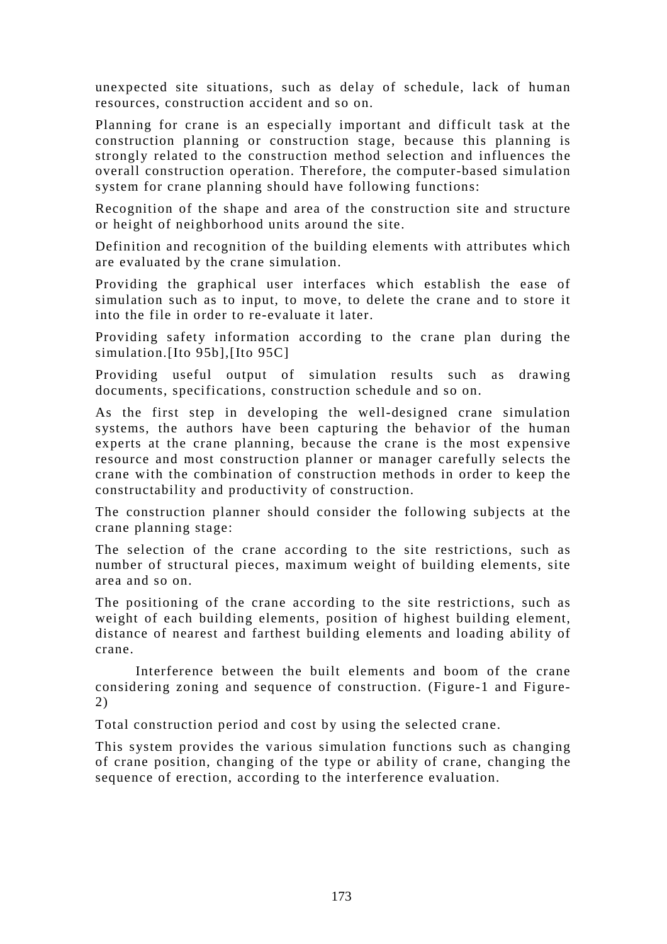unexpected site situations, such as delay of schedule, lack of human resources, construction accident and so on.

Planning for crane is an especially important and difficult task at the construction planning or construction stage, because this planning is strongly related to the construction method selection and influences the overall construction operation. Therefore, the computer-based simulation system for crane planning should have following functions:

Recognition of the shape and area of the construction site and structure or height of neighborhood units around the site.

Definition and recognition of the building elements with attributes which are evaluated by the crane simulation.

Providing the graphical user interfaces which establish the ease of simulation such as to input, to move, to delete the crane and to store it into the file in order to re-evaluate it later.

Providing safety information according to the crane plan during the simulation.<sup>[Ito 95b]</sup>,<sup>[Ito 95C]</sup>

Providing useful output of simulation results such as drawing documents, specifications, construction schedule and so on.

As the first step in developing the well-designed crane simulation systems, the authors have been capturing the behavior of the human experts at the crane planning, because the crane is the most expensive resource and most construction planner or manager carefully selects the crane with the combination of construction methods in order to keep the constructability and productivity of construction.

The construction planner should consider the following subjects at the crane planning stage:

The selection of the crane according to the site restrictions, such as number of structural pieces, maximum weight of building elements, site area and so on.

The positioning of the crane according to the site restrictions, such as weight of each building elements, position of highest building element, distance of nearest and farthest building elements and loading ability of crane.

 Interference between the built elements and boom of the crane considering zoning and sequence of construction. (Figure-1 and Figure-2)

Total construction period and cost by using the selected crane.

This system provides the various simulation functions such as changing of crane position, changing of the type or ability of crane, changing the sequence of erection, according to the interference evaluation.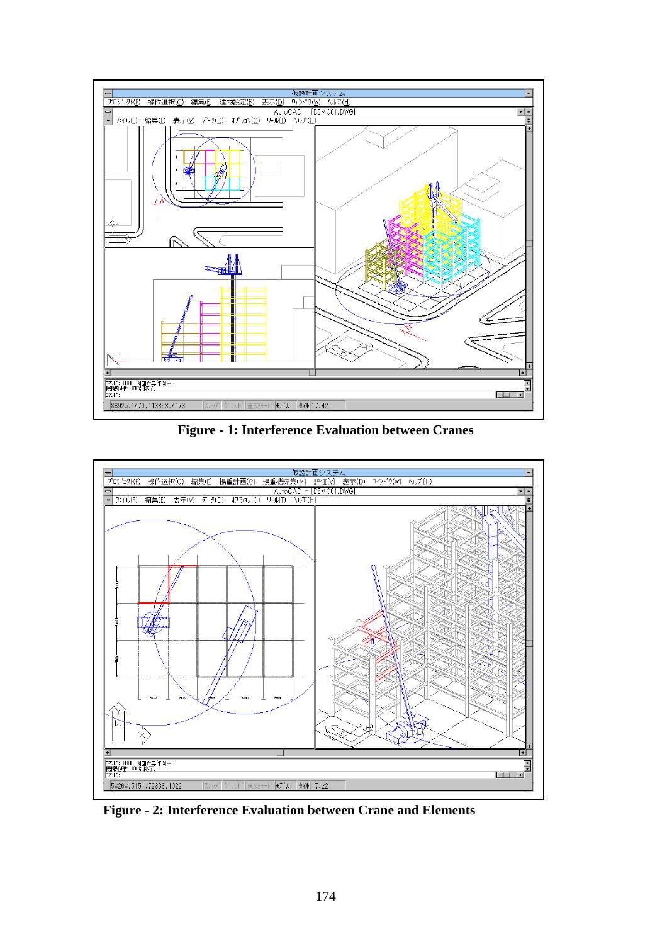

**Figure - 1: Interference Evaluation between Cranes** 



**Figure - 2: Interference Evaluation between Crane and Elements**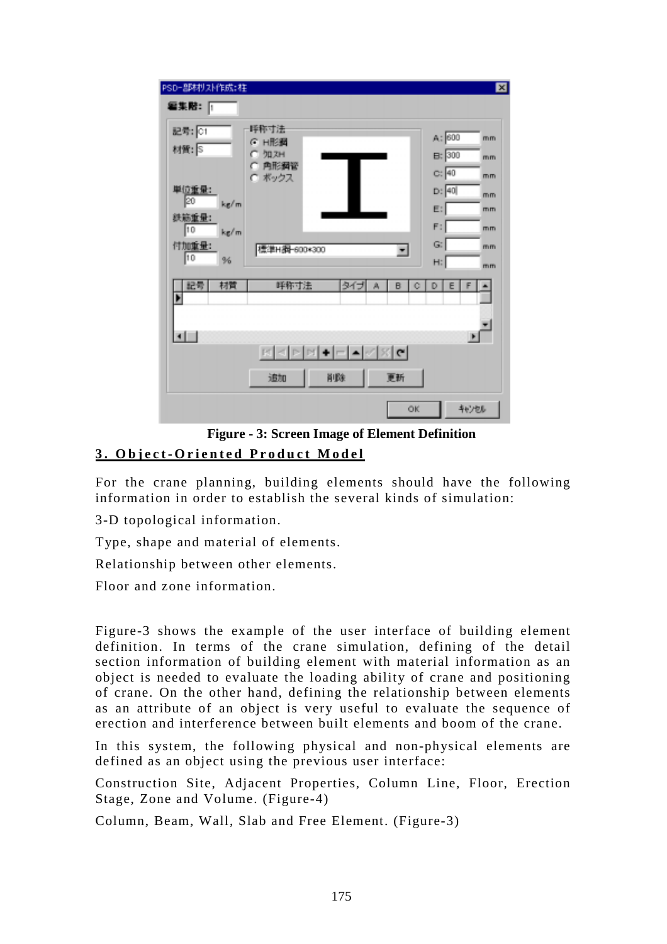| PSD-部材以作成:柱               |                                              |          |        |                                   | ⊠                    |  |  |  |
|---------------------------|----------------------------------------------|----------|--------|-----------------------------------|----------------------|--|--|--|
| 編集階: 下                    |                                              |          |        |                                   |                      |  |  |  |
| 記号: [01<br>材質: S<br>単位重量: | 呼称寸法<br>G H形鋼<br>クロスト<br>r<br>角形鋼管<br>C ボックス |          |        | A: 600<br>B:300<br>C: 40<br>D: 40 | mm<br>mm<br>mm<br>mm |  |  |  |
| 20<br>kg/m                |                                              |          |        | E:                                | mm                   |  |  |  |
| 10<br>kg/m                | 鉄筋重量:                                        |          |        |                                   |                      |  |  |  |
| 付加重量:                     | 標準H網-600*300                                 |          | ▼      | $G$ :                             | mm                   |  |  |  |
| 10<br>%                   |                                              |          |        | H:                                | mm                   |  |  |  |
| 記号<br>材質                  | 呼称寸法                                         | タイプ<br>А | B<br>¢ | D<br>Ε<br>F                       |                      |  |  |  |
| <b>x</b>                  |                                              |          |        |                                   |                      |  |  |  |
| - 조히<br>E                 |                                              |          |        |                                   |                      |  |  |  |
| 削除<br>更新<br>追加            |                                              |          |        |                                   |                      |  |  |  |
| 轨划<br>ŌК                  |                                              |          |        |                                   |                      |  |  |  |

**Figure - 3: Screen Image of Element Definition**

# **3. Object-Oriented Product Model**

For the crane planning, building elements should have the following information in order to establish the several kinds of simulation:

3-D topological information.

Type, shape and material of elements.

Relationship between other elements.

Floor and zone information.

Figure-3 shows the example of the user interface of building element definition. In terms of the crane simulation, defining of the detail section information of building element with material information as an object is needed to evaluate the loading ability of crane and positioning of crane. On the other hand, defining the relationship between elements as an attribute of an object is very useful to evaluate the sequence of erection and interference between built elements and boom of the crane.

In this system, the following physical and non-physical elements are defined as an object using the previous user interface:

Construction Site, Adjacent Properties, Column Line, Floor, Erection Stage, Zone and Volume. (Figure-4)

Column, Beam, Wall, Slab and Free Element. (Figure-3)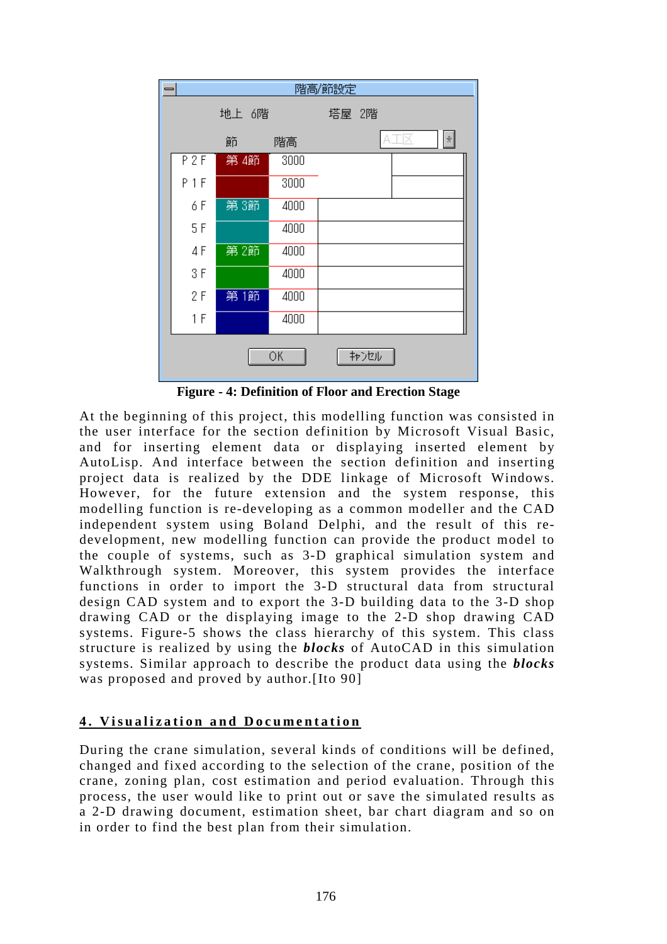| 階高/節設定<br>$\equiv$ |         |     |      |                                                                               |  |  |  |
|--------------------|---------|-----|------|-------------------------------------------------------------------------------|--|--|--|
|                    | 地上 6階   |     |      | 塔屋<br>2階                                                                      |  |  |  |
|                    |         | 節   | 階高   | $\left. \begin{matrix} \circledast \\ \circledast \end{matrix} \right $<br>IX |  |  |  |
|                    | P2F     | 第4節 | 3000 |                                                                               |  |  |  |
|                    | $P$ 1 F |     | 3000 |                                                                               |  |  |  |
|                    | 6 F     | 第3節 | 4000 |                                                                               |  |  |  |
|                    | 5 F     |     | 4000 |                                                                               |  |  |  |
|                    | 4 F     | 第2節 | 4000 |                                                                               |  |  |  |
|                    | 3F      |     | 4000 |                                                                               |  |  |  |
|                    | 2 F     | 第1節 | 4000 |                                                                               |  |  |  |
|                    | 1 F     |     | 4000 |                                                                               |  |  |  |
| ОK<br>キャンセル        |         |     |      |                                                                               |  |  |  |

**Figure - 4: Definition of Floor and Erection Stage** 

At the beginning of this project, this modelling function was consisted in the user interface for the section definition by Microsoft Visual Basic, and for inserting element data or displaying inserted element by AutoLisp. And interface between the section definition and inserting project data is realized by the DDE linkage of Microsoft Windows. However, for the future extension and the system response, this modelling function is re-developing as a common modeller and the CAD independent system using Boland Delphi, and the result of this redevelopment, new modelling function can provide the product model to the couple of systems, such as 3-D graphical simulation system and Walkthrough system. Moreover, this system provides the interface functions in order to import the 3-D structural data from structural design CAD system and to export the 3-D building data to the 3-D shop drawing CAD or the displaying image to the 2-D shop drawing CAD systems. Figure-5 shows the class hierarchy of this system. This class structure is realized by using the *blocks* of AutoCAD in this simulation systems. Similar approach to describe the product data using the *blocks* was proposed and proved by author.[Ito 90]

# **4. Visualization and Documentation**

During the crane simulation, several kinds of conditions will be defined, changed and fixed according to the selection of the crane, position of the crane, zoning plan, cost estimation and period evaluation. Through this process, the user would like to print out or save the simulated results as a 2-D drawing document, estimation sheet, bar chart diagram and so on in order to find the best plan from their simulation.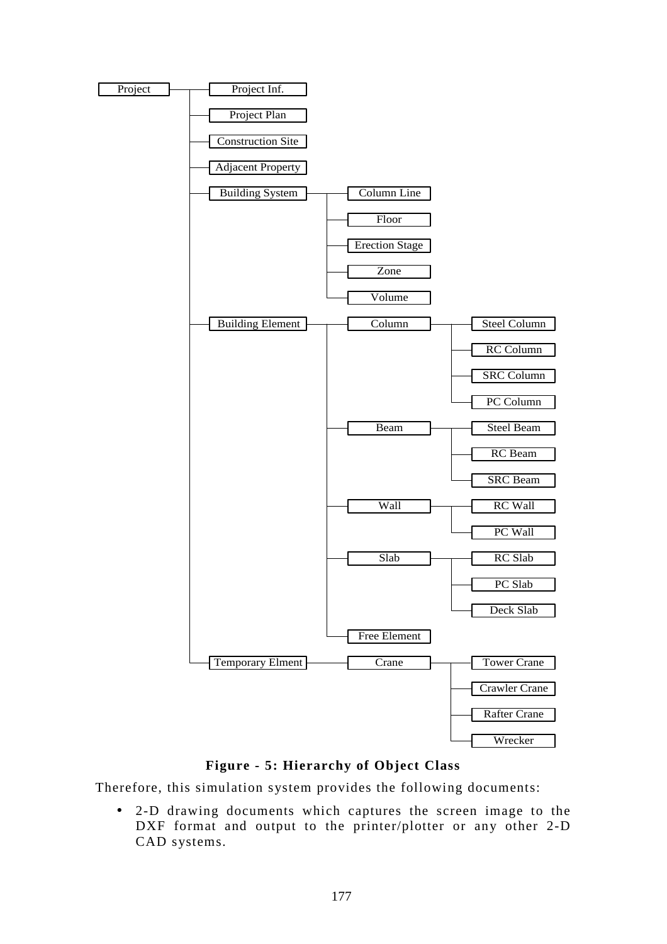

# **Figure - 5: Hierarchy of Object Class**

Therefore, this simulation system provides the following documents:

• 2-D drawing documents which captures the screen image to the DXF format and output to the printer/plotter or any other 2-D CAD systems.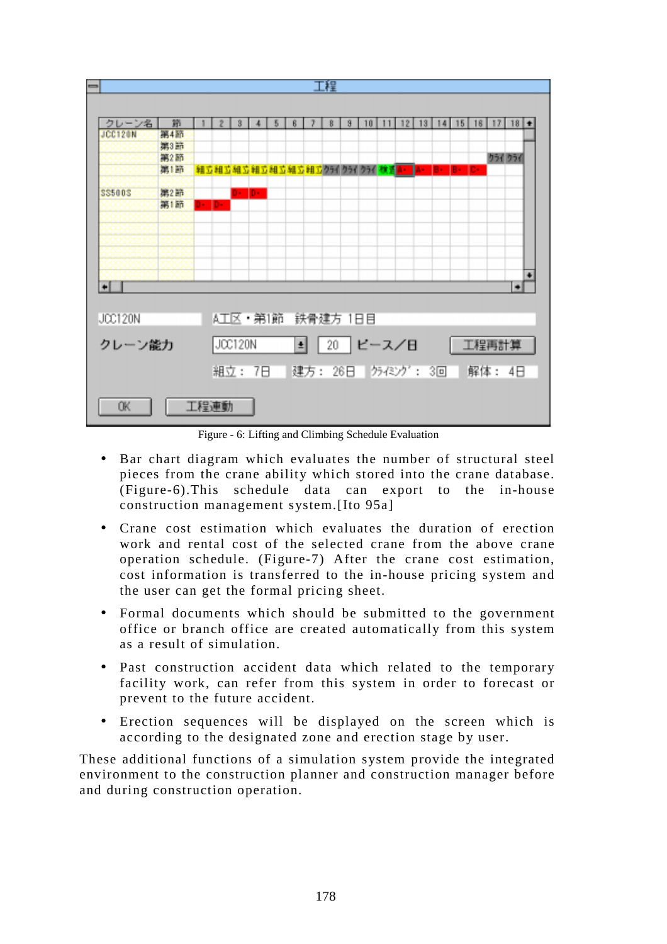

Figure - 6: Lifting and Climbing Schedule Evaluation

- Bar chart diagram which evaluates the number of structural steel pieces from the crane ability which stored into the crane database. (Figure-6).This schedule data can export to the in-house construction management system.[Ito 95a]
- Crane cost estimation which evaluates the duration of erection work and rental cost of the selected crane from the above crane operation schedule. (Figure-7) After the crane cost estimation, cost information is transferred to the in-house pricing system and the user can get the formal pricing sheet.
- Formal documents which should be submitted to the government office or branch office are created automatically from this system as a result of simulation.
- Past construction accident data which related to the temporary facility work, can refer from this system in order to forecast or prevent to the future accident.
- Erection sequences will be displayed on the screen which is according to the designated zone and erection stage by user.

These additional functions of a simulation system provide the integrated environment to the construction planner and construction manager before and during construction operation.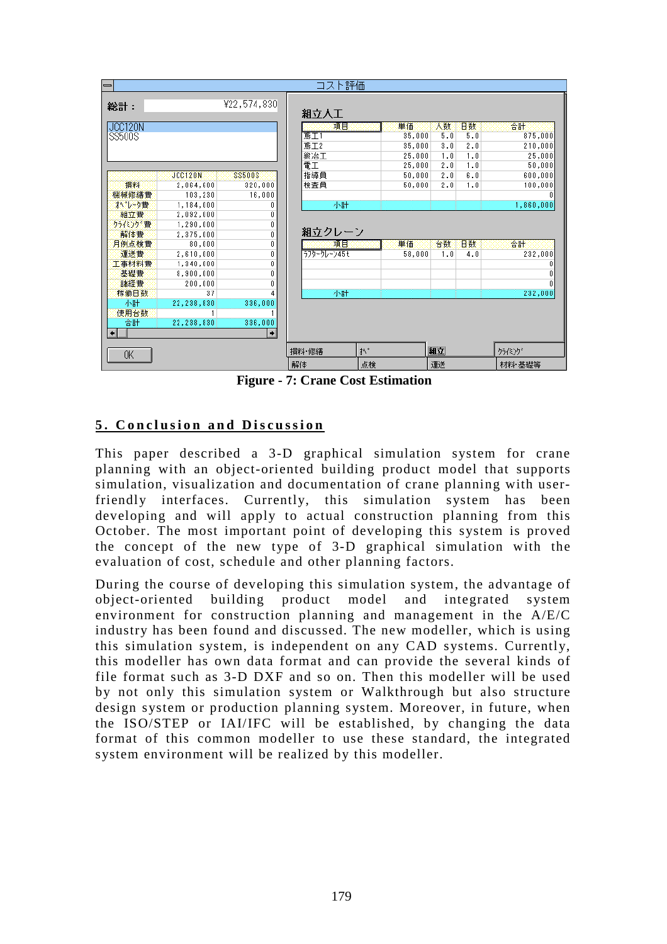| $\qquad \qquad \blacksquare$ |         |                |               |       | コスト評価       |    |        |     |     |           |  |
|------------------------------|---------|----------------|---------------|-------|-------------|----|--------|-----|-----|-----------|--|
|                              | 総計:     |                | ¥22,574,830   |       | 組立人工        |    |        |     |     |           |  |
|                              | JCC120N |                |               |       | 項目          |    | 単価     | 人数  | 日数  | 合計        |  |
|                              | SS500S  |                |               | 萬工1   |             |    | 35,000 | 5.0 | 5.0 | 875,000   |  |
|                              |         |                |               |       | 鳶工2         |    | 35,000 | 3.0 | 2.0 | 210,000   |  |
|                              |         |                |               |       | 鍛冶工         |    | 25,000 | 1.0 | 1.0 | 25,000    |  |
|                              |         |                |               | 電工    |             |    | 25,000 | 2.0 | 1.0 | 50,000    |  |
|                              |         | <b>JCC120N</b> | \$\$500\$     |       | 指導員         |    | 50,000 | 2.0 | 6.0 | 600,000   |  |
|                              | 損料      | 2,064,600      | 320,000       |       | 検査員         |    | 50,000 | 2.0 | 1.0 | 100, 000  |  |
|                              | 機械修繕費   | 103,230        | 16,000        |       |             |    |        |     |     |           |  |
|                              | 水海神費    | 1,184,000      | 0             |       | 小計          |    |        |     |     | 1,860,000 |  |
|                              | 組立費     | 2,092,000      | Û             |       |             |    |        |     |     |           |  |
|                              | りっぽうが書  | 1,290,000      | Û             |       |             |    |        |     |     |           |  |
|                              | 解体费     | 2,375,000      | Û             |       | 組立クレーン      |    |        |     |     |           |  |
|                              | 月例点検費   | 80,000         | 0             |       | 項目          |    | 単価     | 台数  | 日数  | 合計        |  |
|                              | 運送費     | 2,610,000      | Û             |       | うフタークレーン45モ |    | 58,000 | 1.0 | 4.0 | 232,000   |  |
|                              | 工事材料费   | 1,340,000      | 0             |       |             |    |        |     |     | 0         |  |
|                              | 基礎費     | 8,900,000      | Û             |       |             |    |        |     |     | 0         |  |
|                              | 諸経費     | 200,000        | 0             |       |             |    |        |     |     | Ũ.        |  |
|                              | 稼働日数    | 37             |               |       | 小計          |    |        |     |     | 232,000   |  |
|                              | 小計      | 22,238,830     | 336,000       |       |             |    |        |     |     |           |  |
|                              | 使用台数    |                |               |       |             |    |        |     |     |           |  |
|                              | 合計      | 22,238,830     | 336,000       |       |             |    |        |     |     |           |  |
| $\left  \cdot \right $       |         |                | $\rightarrow$ |       |             |    |        |     |     |           |  |
|                              | 0K      |                |               | 損料・修繕 |             | 於  |        | 組立  |     | かぼか       |  |
|                              |         |                |               | 解体    |             | 点検 |        | 運送  |     | 材料·基礎等    |  |

**Figure - 7: Crane Cost Estimation**

# **5. Conclusion and Discussion**

This paper described a 3-D graphical simulation system for crane planning with an object-oriented building product model that supports simulation, visualization and documentation of crane planning with userfriendly interfaces. Currently, this simulation system has been developing and will apply to actual construction planning from this October. The most important point of developing this system is proved the concept of the new type of 3-D graphical simulation with the evaluation of cost, schedule and other planning factors.

During the course of developing this simulation system, the advantage of object-oriented building product model and integrated system environment for construction planning and management in the A/E/C industry has been found and discussed. The new modeller, which is using this simulation system, is independent on any CAD systems. Currently, this modeller has own data format and can provide the several kinds of file format such as 3-D DXF and so on. Then this modeller will be used by not only this simulation system or Walkthrough but also structure design system or production planning system. Moreover, in future, when the ISO/STEP or IAI/IFC will be established, by changing the data format of this common modeller to use these standard, the integrated system environment will be realized by this modeller.